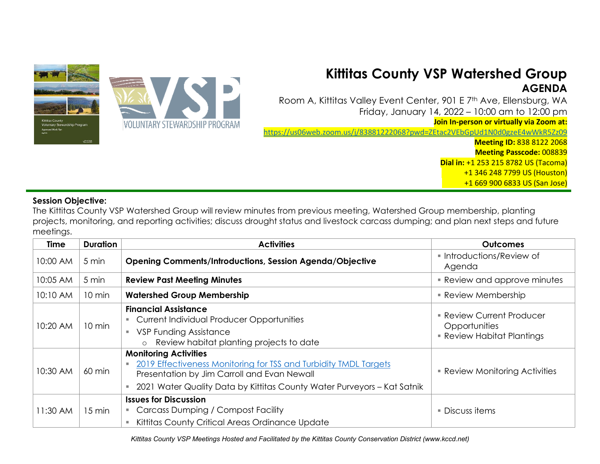

## **Kittitas County VSP Watershed Group AGENDA**

Room A, Kittitas Valley Event Center, 901 E 7th Ave, Ellensburg, WA Friday, January 14, 2022 – 10:00 am to 12:00 pm

**Join In-person or virtually via Zoom at:** 

<https://us06web.zoom.us/j/83881222068?pwd=ZEtac2VEbGpUd1N0d0gzeE4wWkR5Zz09>

**Meeting ID:** 838 8122 2068

**Meeting Passcode:** 008839

**Dial in:** +1 253 215 8782 US (Tacoma)

+1 346 248 7799 US (Houston)

+1 669 900 6833 US (San Jose)

## **Session Objective:**

The Kittitas County VSP Watershed Group will review minutes from previous meeting, Watershed Group membership, planting projects, monitoring, and reporting activities; discuss drought status and livestock carcass dumping; and plan next steps and future meetings.

| Time     | <b>Duration</b>  | <b>Activities</b>                                                                                                                                                                                                          | <b>Outcomes</b>                                                               |
|----------|------------------|----------------------------------------------------------------------------------------------------------------------------------------------------------------------------------------------------------------------------|-------------------------------------------------------------------------------|
| 10:00 AM | 5 min            | <b>Opening Comments/Introductions, Session Agenda/Objective</b>                                                                                                                                                            | ■ Introductions/Review of<br>Agenda                                           |
| 10:05 AM | 5 min            | <b>Review Past Meeting Minutes</b>                                                                                                                                                                                         | • Review and approve minutes                                                  |
| 10:10 AM | $10 \text{ min}$ | <b>Watershed Group Membership</b>                                                                                                                                                                                          | <b>Review Membership</b>                                                      |
| 10:20 AM | 10 min           | <b>Financial Assistance</b><br><b>Current Individual Producer Opportunities</b><br><b>VSP Funding Assistance</b><br>Review habitat planting projects to date<br>$\circ$                                                    | <b>Review Current Producer</b><br>Opportunities<br>• Review Habitat Plantings |
| 10:30 AM | $60 \text{ min}$ | <b>Monitoring Activities</b><br>2019 Effectiveness Monitoring for TSS and Turbidity TMDL Targets<br>Presentation by Jim Carroll and Evan Newall<br>2021 Water Quality Data by Kittitas County Water Purveyors - Kat Satnik | • Review Monitoring Activities                                                |
| 11:30 AM | $15 \text{ min}$ | <b>Issues for Discussion</b><br>Carcass Dumping / Compost Facility<br>Kittitas County Critical Areas Ordinance Update                                                                                                      | ■ Discuss items                                                               |

*Kittitas County VSP Meetings Hosted and Facilitated by the Kittitas County Conservation District (www.kccd.net)*